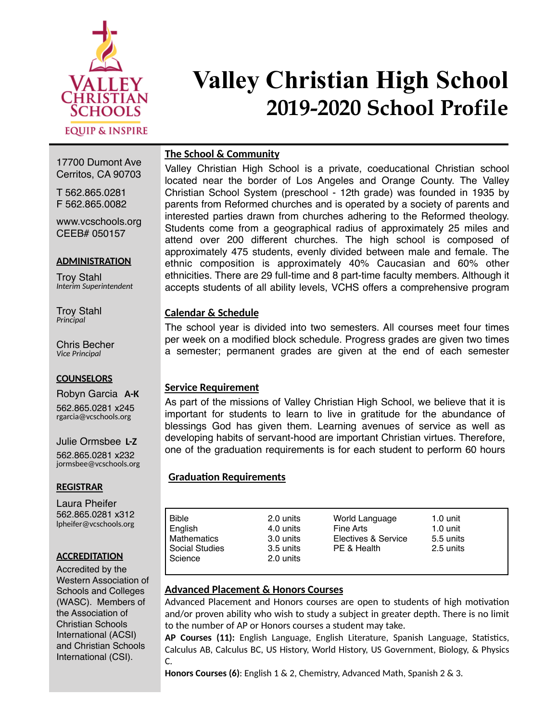

# **Valley Christian High School 2019-2020 School Profile**

# **The School & Community**

17700 Dumont Ave Cerritos, CA 90703

T 562.865.0281 F 562.865.0082

www.vcschools.org CEEB# 050157

#### **ADMINISTRATION**

Troy Stahl *Interim Superintendent*

Troy Stahl *Principal* 

Chris Becher *Vice Principal* 

#### **COUNSELORS**

Robyn Garcia **A-K**  562.865.0281 x245 rgarcia@vcschools.org

Julie Ormsbee **L-Z**  562.865.0281 x232 jormsbee@vcschools.org

### **REGISTRAR**

Laura Pheifer 562.865.0281 x312 lpheifer@vcschools.org

#### **ACCREDITATION**

Accredited by the Western Association of Schools and Colleges (WASC). Members of the Association of Christian Schools International (ACSI) and Christian Schools International (CSI).

Valley Christian High School is a private, coeducational Christian school located near the border of Los Angeles and Orange County. The Valley Christian School System (preschool - 12th grade) was founded in 1935 by parents from Reformed churches and is operated by a society of parents and interested parties drawn from churches adhering to the Reformed theology. Students come from a geographical radius of approximately 25 miles and attend over 200 different churches. The high school is composed of approximately 475 students, evenly divided between male and female. The ethnic composition is approximately 40% Caucasian and 60% other ethnicities. There are 29 full-time and 8 part-time faculty members. Although it accepts students of all ability levels, VCHS offers a comprehensive program

# **Calendar & Schedule**

The school year is divided into two semesters. All courses meet four times per week on a modified block schedule. Progress grades are given two times a semester; permanent grades are given at the end of each semester

# **Service Requirement**

As part of the missions of Valley Christian High School, we believe that it is important for students to learn to live in gratitude for the abundance of blessings God has given them. Learning avenues of service as well as developing habits of servant-hood are important Christian virtues. Therefore, one of the graduation requirements is for each student to perform 60 hours

### **Graduation Requirements**

| <b>Bible</b>       | 2.0 units | World Language      | $1.0 \text{ unit}$ |  |
|--------------------|-----------|---------------------|--------------------|--|
| English            | 4.0 units | Fine Arts           | 1.0 unit           |  |
| <b>Mathematics</b> | 3.0 units | Electives & Service | 5.5 units          |  |
| Social Studies     | 3.5 units | PE & Health         | 2.5 units          |  |
| Science            | 2.0 units |                     |                    |  |
|                    |           |                     |                    |  |

# **Advanced Placement & Honors Courses**

Advanced Placement and Honors courses are open to students of high motivation and/or proven ability who wish to study a subject in greater depth. There is no limit to the number of AP or Honors courses a student may take.

AP Courses (11): English Language, English Literature, Spanish Language, Statistics, Calculus AB, Calculus BC, US History, World History, US Government, Biology, & Physics C.

**Honors Courses (6)**: English 1 & 2, Chemistry, Advanced Math, Spanish 2 & 3.